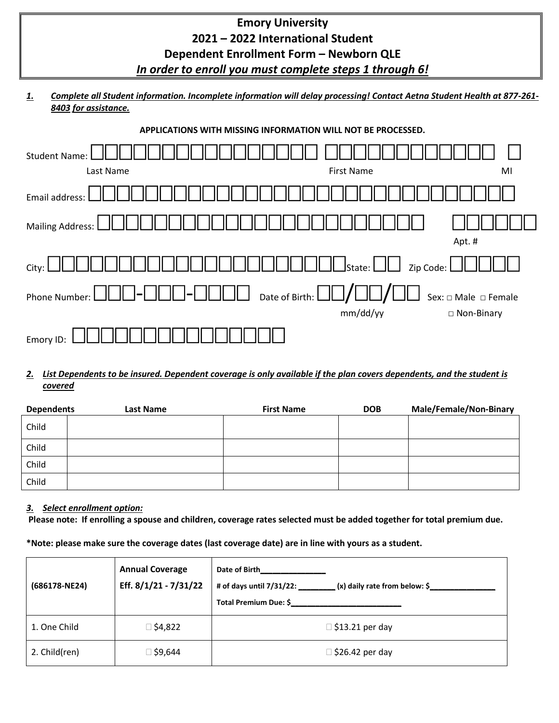| <b>Emory University</b>                 |  |
|-----------------------------------------|--|
| 2021 - 2022 International Student       |  |
| Dependent Enrollment Form - Newborn QLE |  |

### *In order to enroll you must complete steps 1 through 6!*

*1. Complete all Student information. Incomplete information will delay processing! Contact Aetna Student Health at 877-261- 8403 for assistance.*

| APPLICATIONS WITH MISSING INFORMATION WILL NOT BE PROCESSED.                             |                                                                                     |                                       |
|------------------------------------------------------------------------------------------|-------------------------------------------------------------------------------------|---------------------------------------|
| <b>Student Name:</b>                                                                     |                                                                                     |                                       |
| Last Name                                                                                | <b>First Name</b>                                                                   | MI                                    |
| Email address:                                                                           |                                                                                     |                                       |
| <b>Mailing Address:</b>                                                                  |                                                                                     | Apt. #                                |
| City:                                                                                    | $\mathsf{l}\square$ State: $\mathsf{l}\square\mathsf{l}\square$<br>Zip Code: $\Box$ |                                       |
| Date of Birth: $\Box\Box$<br>Phone Number:<br>$\overline{\phantom{0}}$<br>$\blacksquare$ |                                                                                     | $\Box$ Sex: $\Box$ Male $\Box$ Female |
|                                                                                          | mm/dd/yy                                                                            | $\Box$ Non-Binary                     |
| Emory ID:                                                                                |                                                                                     |                                       |

### *2. List Dependents to be insured. Dependent coverage is only available if the plan covers dependents, and the student is covered*

| <b>Dependents</b> | Last Name | <b>First Name</b> | <b>DOB</b> | <b>Male/Female/Non-Binary</b> |
|-------------------|-----------|-------------------|------------|-------------------------------|
| Child             |           |                   |            |                               |
| Child             |           |                   |            |                               |
| Child             |           |                   |            |                               |
| Child             |           |                   |            |                               |

### *3. Select enrollment option:*

**Please note: If enrolling a spouse and children, coverage rates selected must be added together for total premium due.** 

**\*Note: please make sure the coverage dates (last coverage date) are in line with yours as a student.**

| (686178-NE24) | <b>Annual Coverage</b><br>Eff. 8/1/21 - 7/31/22 | Date of Birth<br># of days until 7/31/22:<br>(x) daily rate from below: \$<br>Total Premium Due: \$ |
|---------------|-------------------------------------------------|-----------------------------------------------------------------------------------------------------|
| 1. One Child  | ⊠ \$4,822                                       | $\Box$ \$13.21 per day                                                                              |
| 2. Child(ren) | ⊺9,644 ב                                        | $\Box$ \$26.42 per day                                                                              |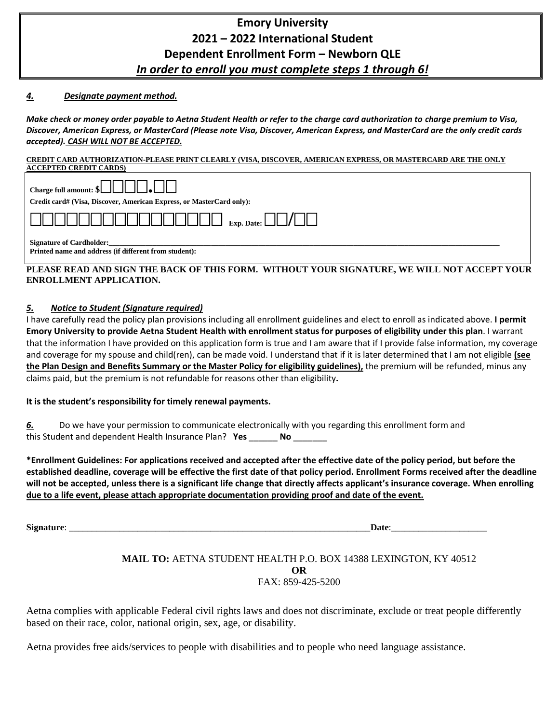# **Emory University 2021 – 2022 International Student Dependent Enrollment Form – Newborn QLE**  *In order to enroll you must complete steps 1 through 6!*

#### *4. Designate payment method.*

*Make check or money order payable to Aetna Student Health or refer to the charge card authorization to charge premium to Visa, Discover, American Express, or MasterCard (Please note Visa, Discover, American Express, and MasterCard are the only credit cards accepted). CASH WILL NOT BE ACCEPTED.*

#### **CREDIT CARD AUTHORIZATION-PLEASE PRINT CLEARLY (VISA, DISCOVER, AMERICAN EXPRESS, OR MASTERCARD ARE THE ONLY ACCEPTED CREDIT CARDS)**

| ACCEI TED CREDIT CARDS!                                                                  |
|------------------------------------------------------------------------------------------|
| Charge full amount: \$                                                                   |
| Credit card# (Visa, Discover, American Express, or MasterCard only):                     |
|                                                                                          |
| <b>Signature of Cardholder:</b><br>Printed name and address (if different from student): |

#### **PLEASE READ AND SIGN THE BACK OF THIS FORM. WITHOUT YOUR SIGNATURE, WE WILL NOT ACCEPT YOUR ENROLLMENT APPLICATION.**

#### *5. Notice to Student (Signature required)*

I have carefully read the policy plan provisions including all enrollment guidelines and elect to enroll as indicated above. **I permit Emory University to provide Aetna Student Health with enrollment status for purposes of eligibility under this plan**. I warrant that the information I have provided on this application form is true and I am aware that if I provide false information, my coverage and coverage for my spouse and child(ren), can be made void. I understand that if it is later determined that I am not eligible **(see the Plan Design and Benefits Summary or the Master Policy for eligibility guidelines),** the premium will be refunded, minus any claims paid, but the premium is not refundable for reasons other than eligibility**.** 

#### **It is the student's responsibility for timely renewal payments.**

*6.* Do we have your permission to communicate electronically with you regarding this enrollment form and this Student and dependent Health Insurance Plan? **Yes** \_\_\_\_\_\_ **No** \_\_\_\_\_\_\_

**\*Enrollment Guidelines: For applications received and accepted after the effective date of the policy period, but before the established deadline, coverage will be effective the first date of that policy period. Enrollment Forms received after the deadline will not be accepted, unless there is a significant life change that directly affects applicant's insurance coverage. When enrolling due to a life event, please attach appropriate documentation providing proof and date of the event.** 

**Signature**: \_\_\_\_\_\_\_\_\_\_\_\_\_\_\_\_\_\_\_\_\_\_\_\_\_\_\_\_\_\_\_\_\_\_\_\_\_\_\_\_\_\_\_\_\_\_\_\_\_\_\_\_\_\_\_\_\_\_\_\_\_\_\_\_\_\_**Date**:\_\_\_\_\_\_\_\_\_\_\_\_\_\_\_\_\_\_\_\_\_

#### **MAIL TO:** AETNA STUDENT HEALTH P.O. BOX 14388 LEXINGTON, KY 40512 **OR** FAX: 859-425-5200

Aetna complies with applicable Federal civil rights laws and does not discriminate, exclude or treat people differently based on their race, color, national origin, sex, age, or disability.

Aetna provides free aids/services to people with disabilities and to people who need language assistance.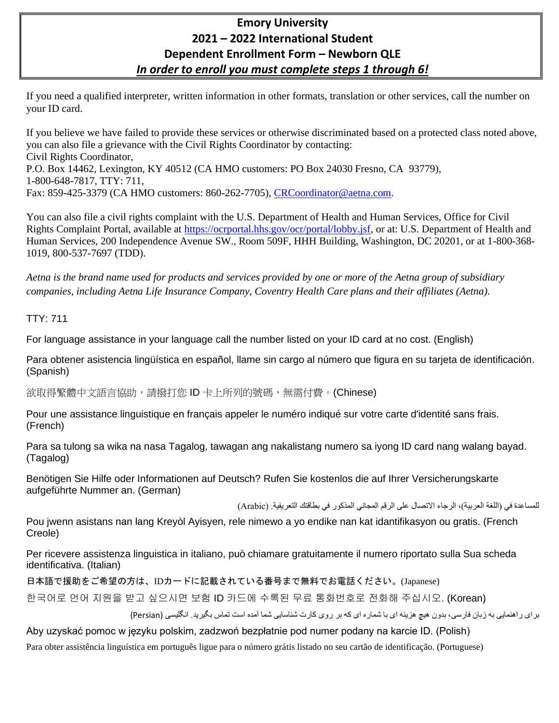# **Emory University 2021 – 2022 International Student Dependent Enrollment Form – Newborn QLE**  *In order to enroll you must complete steps 1 through 6!*

If you need a qualified interpreter, written information in other formats, translation or other services, call the number on your ID card.

If you believe we have failed to provide these services or otherwise discriminated based on a protected class noted above, you can also file a grievance with the Civil Rights Coordinator by contacting: Civil Rights Coordinator, P.O. Box 14462, Lexington, KY 40512 (CA HMO customers: PO Box 24030 Fresno, CA 93779), 1-800-648-7817, TTY: 711, Fax: 859-425-3379 (CA HMO customers: 860-262-7705), [CRCoordinator@aetna.com.](mailto:CRCoordinator@aetna.com)

You can also file a civil rights complaint with the U.S. Department of Health and Human Services, Office for Civil Rights Complaint Portal, available at [https://ocrportal.hhs.gov/ocr/portal/lobby.jsf,](https://ocrportal.hhs.gov/ocr/portal/lobby.jsf) or at: U.S. Department of Health and Human Services, 200 Independence Avenue SW., Room 509F, HHH Building, Washington, DC 20201, or at 1-800-368- 1019, 800-537-7697 (TDD).

*Aetna is the brand name used for products and services provided by one or more of the Aetna group of subsidiary companies, including Aetna Life Insurance Company, Coventry Health Care plans and their affiliates (Aetna).*

### TTY: 711

For language assistance in your language call the number listed on your ID card at no cost. (English)

Para obtener asistencia lingüística en español, llame sin cargo al número que figura en su tarjeta de identificación. (Spanish)

欲取得繁體中文語言協助,請撥打您 ID 卡上所列的號碼,無需付費。(Chinese)

Pour une assistance linguistique en français appeler le numéro indiqué sur votre carte d'identité sans frais. (French)

Para sa tulong sa wika na nasa Tagalog, tawagan ang nakalistang numero sa iyong ID card nang walang bayad. (Tagalog)

Benötigen Sie Hilfe oder Informationen auf Deutsch? Rufen Sie kostenlos die auf Ihrer Versicherungskarte aufgeführte Nummer an. (German)

للمساعدة في (اللغة العربية)، الرجاء الاتصال على الرقم المجاني المذكور في بطاقتك التعريفية. (Arabic)

Pou jwenn asistans nan lang Kreyòl Ayisyen, rele nimewo a yo endike nan kat idantifikasyon ou gratis. (French Creole)

Per ricevere assistenza linguistica in italiano, può chiamare gratuitamente il numero riportato sulla Sua scheda identificativa. (Italian)

日本語で援助をご希望の方は、IDカードに記載されている番号まで無料でお電話ください。(Japanese)

한국어로 언어 지원을 받고 싶으시면 보험 ID 카드에 수록된 무료 통화번호로 전화해 주십시오. (Korean)

برای راهنمايی به زبان فارسی، بدون هيچ هزينه ای با شماره ای که بر روی کارت شناسايی شما آمده است تماس بگيريد. انگليسی )Persian )

Aby uzyskać pomoc w języku polskim, zadzwoń bezpłatnie pod numer podany na karcie ID. (Polish)

Para obter assistência linguística em português ligue para o número grátis listado no seu cartão de identificação. (Portuguese)